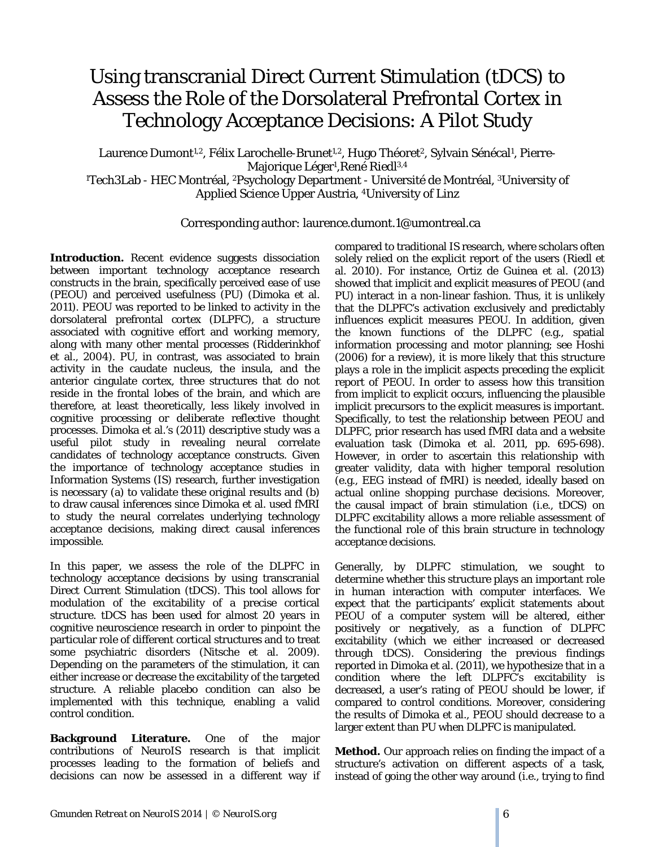## Using transcranial Direct Current Stimulation (tDCS) to Assess the Role of the Dorsolateral Prefrontal Cortex in Technology Acceptance Decisions: A Pilot Study

Laurence Dumont<sup>1,2</sup>, Félix Larochelle-Brunet<sup>1,2</sup>, Hugo Théoret<sup>2</sup>, Sylvain Sénécal<sup>1</sup>, Pierre-Majorique Léger<sup>1</sup>, René Riedl<sup>3,4</sup> <sup>1</sup>Tech3Lab - HEC Montréal, <sup>2</sup>Psychology Department - Université de Montréal, <sup>3</sup>University of Applied Science Upper Austria, 4University of Linz

Corresponding author: laurence.dumont.1@umontreal.ca

**Introduction.** Recent evidence suggests dissociation between important technology acceptance research constructs in the brain, specifically perceived ease of use (PEOU) and perceived usefulness (PU) (Dimoka et al. 2011). PEOU was reported to be linked to activity in the dorsolateral prefrontal cortex (DLPFC), a structure associated with cognitive effort and working memory, along with many other mental processes (Ridderinkhof et al., 2004). PU, in contrast, was associated to brain activity in the caudate nucleus, the insula, and the anterior cingulate cortex, three structures that do not reside in the frontal lobes of the brain, and which are therefore, at least theoretically, less likely involved in cognitive processing or deliberate reflective thought processes. Dimoka et al.'s (2011) descriptive study was a useful pilot study in revealing neural correlate candidates of technology acceptance constructs. Given the importance of technology acceptance studies in Information Systems (IS) research, further investigation is necessary (a) to validate these original results and (b) to draw causal inferences since Dimoka et al. used fMRI to study the neural correlates underlying technology acceptance decisions, making direct causal inferences impossible.

In this paper, we assess the role of the DLPFC in technology acceptance decisions by using transcranial Direct Current Stimulation (tDCS). This tool allows for modulation of the excitability of a precise cortical structure. tDCS has been used for almost 20 years in cognitive neuroscience research in order to pinpoint the particular role of different cortical structures and to treat some psychiatric disorders (Nitsche et al. 2009). Depending on the parameters of the stimulation, it can either increase or decrease the excitability of the targeted structure. A reliable placebo condition can also be implemented with this technique, enabling a valid control condition.

**Background Literature.** One of the major contributions of NeuroIS research is that implicit processes leading to the formation of beliefs and decisions can now be assessed in a different way if compared to traditional IS research, where scholars often solely relied on the explicit report of the users (Riedl et al. 2010). For instance, Ortiz de Guinea et al. (2013) showed that implicit and explicit measures of PEOU (and PU) interact in a non-linear fashion. Thus, it is unlikely that the DLPFC's activation exclusively and predictably influences explicit measures PEOU. In addition, given the known functions of the DLPFC (e.g., spatial information processing and motor planning; see Hoshi (2006) for a review), it is more likely that this structure plays a role in the implicit aspects preceding the explicit report of PEOU. In order to assess how this transition from implicit to explicit occurs, influencing the plausible implicit precursors to the explicit measures is important. Specifically, to test the relationship between PEOU and DLPFC, prior research has used fMRI data and a website evaluation task (Dimoka et al. 2011, pp. 695-698). However, in order to ascertain this relationship with greater validity, data with higher temporal resolution (e.g., EEG instead of fMRI) is needed, ideally based on actual online shopping purchase decisions. Moreover, the causal impact of brain stimulation (i.e., tDCS) on DLPFC excitability allows a more reliable assessment of the functional role of this brain structure in technology acceptance decisions.

Generally, by DLPFC stimulation, we sought to determine whether this structure plays an important role in human interaction with computer interfaces. We expect that the participants' explicit statements about PEOU of a computer system will be altered, either positively or negatively, as a function of DLPFC excitability (which we either increased or decreased through tDCS). Considering the previous findings reported in Dimoka et al. (2011), we hypothesize that in a condition where the left DLPFC's excitability is decreased, a user's rating of PEOU should be lower, if compared to control conditions. Moreover, considering the results of Dimoka et al., PEOU should decrease to a larger extent than PU when DLPFC is manipulated.

**Method.** Our approach relies on finding the impact of a structure's activation on different aspects of a task, instead of going the other way around (i.e., trying to find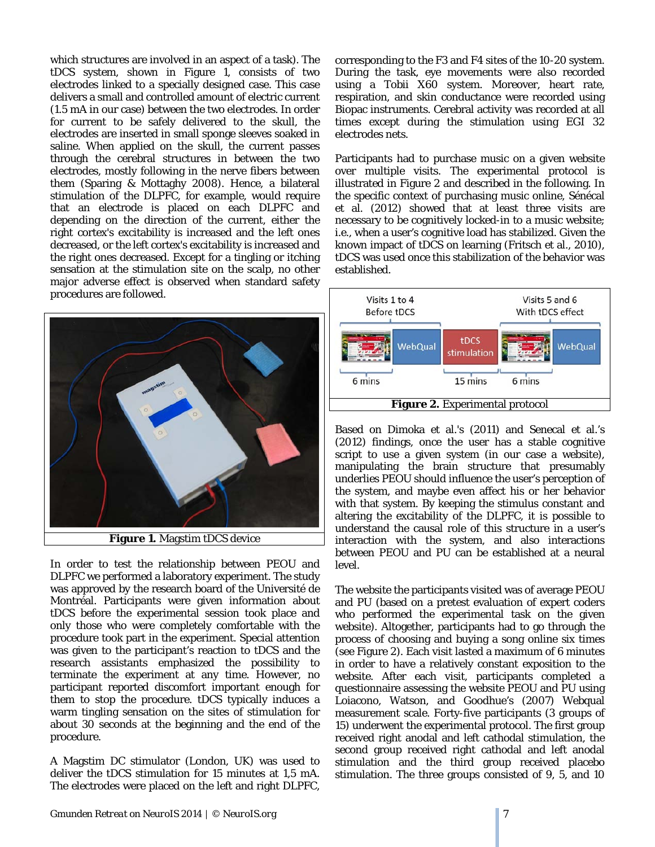which structures are involved in an aspect of a task). The tDCS system, shown in Figure 1, consists of two electrodes linked to a specially designed case. This case delivers a small and controlled amount of electric current (1.5 mA in our case) between the two electrodes. In order for current to be safely delivered to the skull, the electrodes are inserted in small sponge sleeves soaked in saline. When applied on the skull, the current passes through the cerebral structures in between the two electrodes, mostly following in the nerve fibers between them (Sparing & Mottaghy 2008). Hence, a bilateral stimulation of the DLPFC, for example, would require that an electrode is placed on each DLPFC and depending on the direction of the current, either the right cortex's excitability is increased and the left ones decreased, or the left cortex's excitability is increased and the right ones decreased. Except for a tingling or itching sensation at the stimulation site on the scalp, no other major adverse effect is observed when standard safety procedures are followed.



**Figure 1.** Magstim tDCS device

In order to test the relationship between PEOU and DLPFC we performed a laboratory experiment. The study was approved by the research board of the Université de Montréal. Participants were given information about tDCS before the experimental session took place and only those who were completely comfortable with the procedure took part in the experiment. Special attention was given to the participant's reaction to tDCS and the research assistants emphasized the possibility to terminate the experiment at any time. However, no participant reported discomfort important enough for them to stop the procedure. tDCS typically induces a warm tingling sensation on the sites of stimulation for about 30 seconds at the beginning and the end of the procedure.

A Magstim DC stimulator (London, UK) was used to deliver the tDCS stimulation for 15 minutes at 1,5 mA. The electrodes were placed on the left and right DLPFC,

corresponding to the F3 and F4 sites of the 10-20 system. During the task, eye movements were also recorded using a Tobii X60 system. Moreover, heart rate, respiration, and skin conductance were recorded using Biopac instruments. Cerebral activity was recorded at all times except during the stimulation using EGI 32 electrodes nets.

Participants had to purchase music on a given website over multiple visits. The experimental protocol is illustrated in Figure 2 and described in the following. In the specific context of purchasing music online, Sénécal et al. (2012) showed that at least three visits are necessary to be cognitively locked-in to a music website; i.e., when a user's cognitive load has stabilized. Given the known impact of tDCS on learning (Fritsch et al., 2010), tDCS was used once this stabilization of the behavior was established.



Based on Dimoka et al.'s (2011) and Senecal et al.'s (2012) findings, once the user has a stable cognitive script to use a given system (in our case a website), manipulating the brain structure that presumably underlies PEOU should influence the user's perception of the system, and maybe even affect his or her behavior with that system. By keeping the stimulus constant and altering the excitability of the DLPFC, it is possible to understand the causal role of this structure in a user's interaction with the system, and also interactions between PEOU and PU can be established at a neural level.

The website the participants visited was of average PEOU and PU (based on a pretest evaluation of expert coders who performed the experimental task on the given website). Altogether, participants had to go through the process of choosing and buying a song online six times (see Figure 2). Each visit lasted a maximum of 6 minutes in order to have a relatively constant exposition to the website. After each visit, participants completed a questionnaire assessing the website PEOU and PU using Loiacono, Watson, and Goodhue's (2007) Webqual measurement scale. Forty-five participants (3 groups of 15) underwent the experimental protocol. The first group received right anodal and left cathodal stimulation, the second group received right cathodal and left anodal stimulation and the third group received placebo stimulation. The three groups consisted of 9, 5, and 10